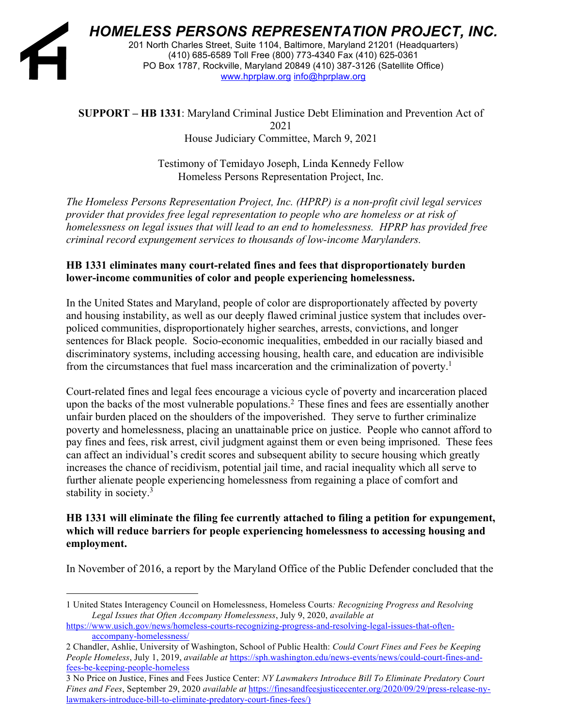

*HOMELESS PERSONS REPRESENTATION PROJECT, INC.*

201 North Charles Street, Suite 1104, Baltimore, Maryland 21201 (Headquarters) (410) 685-6589 Toll Free (800) 773-4340 Fax (410) 625-0361 PO Box 1787, Rockville, Maryland 20849 (410) 387-3126 (Satellite Office) www.hprplaw.org info@hprplaw.org

### **SUPPORT – HB 1331**: Maryland Criminal Justice Debt Elimination and Prevention Act of 2021 House Judiciary Committee, March 9, 2021

Testimony of Temidayo Joseph, Linda Kennedy Fellow Homeless Persons Representation Project, Inc.

*The Homeless Persons Representation Project, Inc. (HPRP) is a non-profit civil legal services provider that provides free legal representation to people who are homeless or at risk of homelessness on legal issues that will lead to an end to homelessness. HPRP has provided free criminal record expungement services to thousands of low-income Marylanders.* 

# **HB 1331 eliminates many court-related fines and fees that disproportionately burden lower-income communities of color and people experiencing homelessness.**

In the United States and Maryland, people of color are disproportionately affected by poverty and housing instability, as well as our deeply flawed criminal justice system that includes overpoliced communities, disproportionately higher searches, arrests, convictions, and longer sentences for Black people. Socio-economic inequalities, embedded in our racially biased and discriminatory systems, including accessing housing, health care, and education are indivisible from the circumstances that fuel mass incarceration and the criminalization of poverty.<sup>1</sup>

Court-related fines and legal fees encourage a vicious cycle of poverty and incarceration placed upon the backs of the most vulnerable populations.2 These fines and fees are essentially another unfair burden placed on the shoulders of the impoverished. They serve to further criminalize poverty and homelessness, placing an unattainable price on justice. People who cannot afford to pay fines and fees, risk arrest, civil judgment against them or even being imprisoned. These fees can affect an individual's credit scores and subsequent ability to secure housing which greatly increases the chance of recidivism, potential jail time, and racial inequality which all serve to further alienate people experiencing homelessness from regaining a place of comfort and stability in society.<sup>3</sup>

## **HB 1331 will eliminate the filing fee currently attached to filing a petition for expungement, which will reduce barriers for people experiencing homelessness to accessing housing and employment.**

In November of 2016, a report by the Maryland Office of the Public Defender concluded that the

3 No Price on Justice, Fines and Fees Justice Center: *NY Lawmakers Introduce Bill To Eliminate Predatory Court Fines and Fees*, September 29, 2020 *available at* https://finesandfeesjusticecenter.org/2020/09/29/press-release-nylawmakers-introduce-bill-to-eliminate-predatory-court-fines-fees/)

<sup>1</sup> United States Interagency Council on Homelessness, Homeless Courts*: Recognizing Progress and Resolving Legal Issues that Often Accompany Homelessness*, July 9, 2020, *available at* 

https://www.usich.gov/news/homeless-courts-recognizing-progress-and-resolving-legal-issues-that-oftenaccompany-homelessness/

<sup>2</sup> Chandler, Ashlie, University of Washington, School of Public Health: *Could Court Fines and Fees be Keeping People Homeless*, July 1, 2019, *available at* https://sph.washington.edu/news-events/news/could-court-fines-andfees-be-keeping-people-homeless